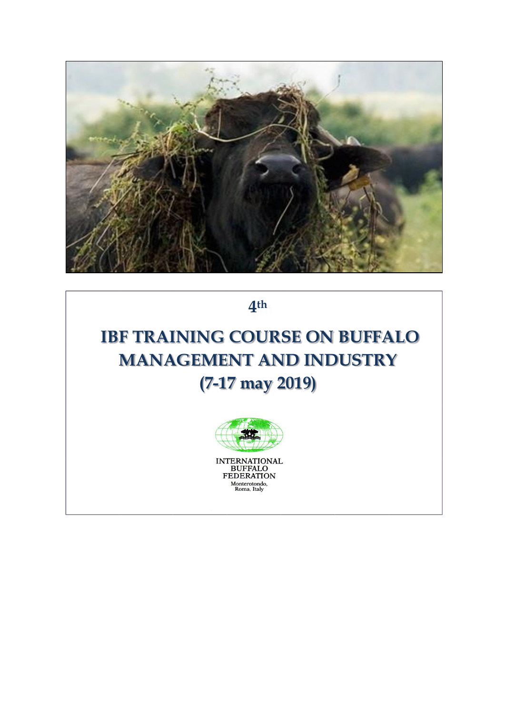

**4 th**

## **IBF TRAINING COURSE ON BUFFALO MANAGEMENT AND INDUSTRY (7-17 may 2019)**



INTERNATIONAL<br>BUFFALO<br>FEDERATION Monterotondo,<br>Roma, Italy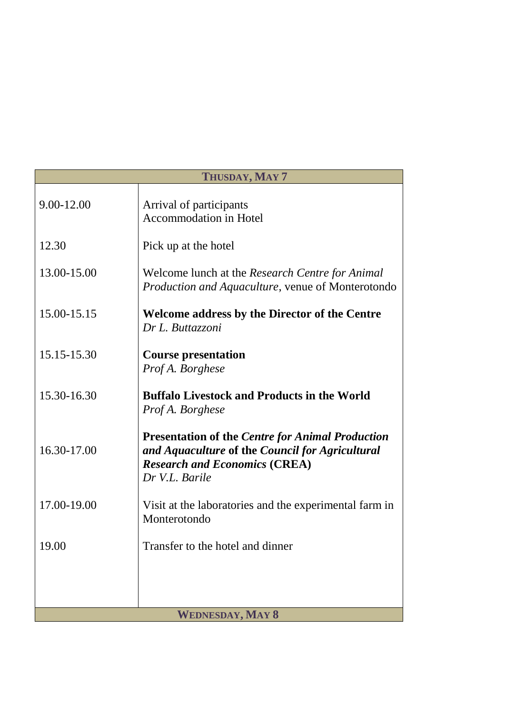| THUSDAY, MAY 7          |                                                                                                                                                                      |
|-------------------------|----------------------------------------------------------------------------------------------------------------------------------------------------------------------|
| 9.00-12.00              | Arrival of participants<br><b>Accommodation in Hotel</b>                                                                                                             |
| 12.30                   | Pick up at the hotel                                                                                                                                                 |
| 13.00-15.00             | Welcome lunch at the Research Centre for Animal<br>Production and Aquaculture, venue of Monterotondo                                                                 |
| 15.00-15.15             | <b>Welcome address by the Director of the Centre</b><br>Dr L. Buttazzoni                                                                                             |
| 15.15-15.30             | <b>Course presentation</b><br>Prof A. Borghese                                                                                                                       |
| 15.30-16.30             | <b>Buffalo Livestock and Products in the World</b><br>Prof A. Borghese                                                                                               |
| 16.30-17.00             | <b>Presentation of the Centre for Animal Production</b><br>and Aquaculture of the Council for Agricultural<br><b>Research and Economics (CREA)</b><br>Dr V.L. Barile |
| 17.00-19.00             | Visit at the laboratories and the experimental farm in<br>Monterotondo                                                                                               |
| 19.00                   | Transfer to the hotel and dinner                                                                                                                                     |
|                         |                                                                                                                                                                      |
|                         |                                                                                                                                                                      |
| <b>WEDNESDAY, MAY 8</b> |                                                                                                                                                                      |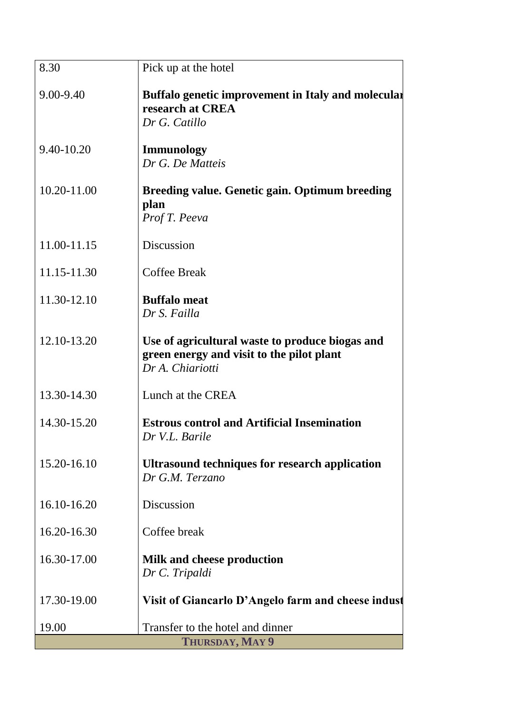| 9.00-9.40<br>Buffalo genetic improvement in Italy and molecular<br>research at CREA<br>Dr G. Catillo<br>9.40-10.20<br><b>Immunology</b><br>Dr G. De Matteis<br>10.20-11.00 |
|----------------------------------------------------------------------------------------------------------------------------------------------------------------------------|
|                                                                                                                                                                            |
|                                                                                                                                                                            |
| <b>Breeding value. Genetic gain. Optimum breeding</b><br>plan<br>Prof T. Peeva                                                                                             |
| Discussion<br>11.00-11.15                                                                                                                                                  |
| <b>Coffee Break</b><br>11.15-11.30                                                                                                                                         |
| 11.30-12.10<br><b>Buffalo</b> meat<br>Dr S. Failla                                                                                                                         |
| 12.10-13.20<br>Use of agricultural waste to produce biogas and<br>green energy and visit to the pilot plant<br>Dr A. Chiariotti                                            |
| 13.30-14.30<br>Lunch at the CREA                                                                                                                                           |
| 14.30-15.20<br><b>Estrous control and Artificial Insemination</b><br>Dr V.L. Barile                                                                                        |
| 15.20-16.10<br><b>Ultrasound techniques for research application</b><br>Dr G.M. Terzano                                                                                    |
| 16.10-16.20<br>Discussion                                                                                                                                                  |
| 16.20-16.30<br>Coffee break                                                                                                                                                |
| 16.30-17.00<br><b>Milk and cheese production</b><br>Dr C. Tripaldi                                                                                                         |
| 17.30-19.00<br>Visit of Giancarlo D'Angelo farm and cheese indust                                                                                                          |
| Transfer to the hotel and dinner<br>19.00<br>THURSDAY, MAY 9                                                                                                               |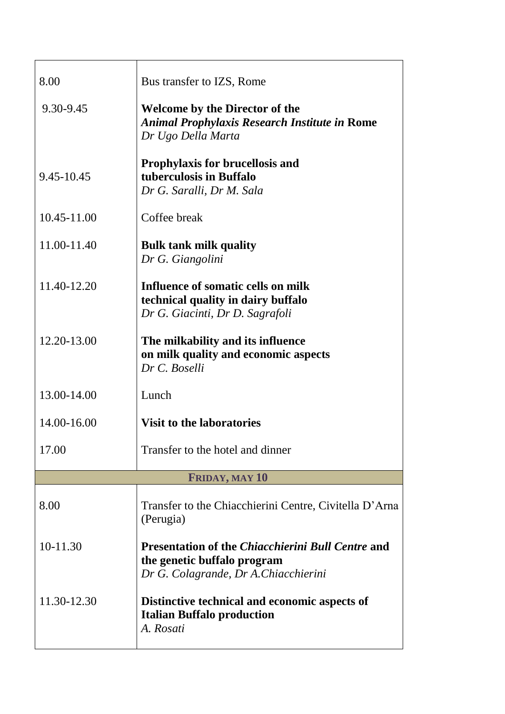| 8.00        | Bus transfer to IZS, Rome                                                                                                        |
|-------------|----------------------------------------------------------------------------------------------------------------------------------|
| 9.30-9.45   | <b>Welcome by the Director of the</b><br><b>Animal Prophylaxis Research Institute in Rome</b><br>Dr Ugo Della Marta              |
| 9.45-10.45  | <b>Prophylaxis for brucellosis and</b><br>tuberculosis in Buffalo<br>Dr G. Saralli, Dr M. Sala                                   |
| 10.45-11.00 | Coffee break                                                                                                                     |
| 11.00-11.40 | <b>Bulk tank milk quality</b><br>Dr G. Giangolini                                                                                |
| 11.40-12.20 | Influence of somatic cells on milk<br>technical quality in dairy buffalo<br>Dr G. Giacinti, Dr D. Sagrafoli                      |
| 12.20-13.00 | The milkability and its influence<br>on milk quality and economic aspects<br>Dr C. Boselli                                       |
| 13.00-14.00 | Lunch                                                                                                                            |
| 14.00-16.00 | <b>Visit to the laboratories</b>                                                                                                 |
| 17.00       | Transfer to the hotel and dinner                                                                                                 |
|             | <b>FRIDAY, MAY 10</b>                                                                                                            |
| 8.00        | Transfer to the Chiacchierini Centre, Civitella D'Arna<br>(Perugia)                                                              |
| 10-11.30    | <b>Presentation of the Chiacchierini Bull Centre and</b><br>the genetic buffalo program<br>Dr G. Colagrande, Dr A. Chiacchierini |
| 11.30-12.30 | Distinctive technical and economic aspects of<br><b>Italian Buffalo production</b><br>A. Rosati                                  |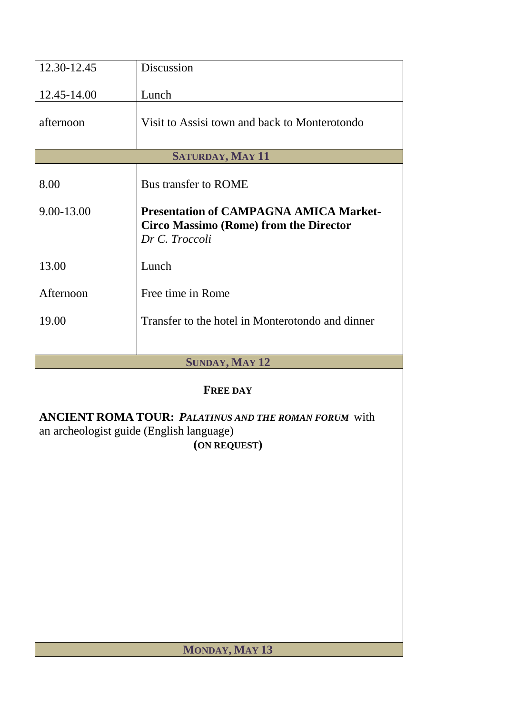| 12.30-12.45                                                                                                              | Discussion                                                                                                       |  |
|--------------------------------------------------------------------------------------------------------------------------|------------------------------------------------------------------------------------------------------------------|--|
| 12.45-14.00                                                                                                              | Lunch                                                                                                            |  |
| afternoon                                                                                                                | Visit to Assisi town and back to Monterotondo                                                                    |  |
|                                                                                                                          | <b>SATURDAY, MAY 11</b>                                                                                          |  |
| 8.00                                                                                                                     | <b>Bus transfer to ROME</b>                                                                                      |  |
| 9.00-13.00                                                                                                               | <b>Presentation of CAMPAGNA AMICA Market-</b><br><b>Circo Massimo (Rome) from the Director</b><br>Dr C. Troccoli |  |
| 13.00                                                                                                                    | Lunch                                                                                                            |  |
| Afternoon                                                                                                                | Free time in Rome                                                                                                |  |
| 19.00                                                                                                                    | Transfer to the hotel in Monterotondo and dinner                                                                 |  |
|                                                                                                                          |                                                                                                                  |  |
|                                                                                                                          | <b>SUNDAY, MAY 12</b>                                                                                            |  |
|                                                                                                                          | <b>FREE DAY</b>                                                                                                  |  |
| <b>ANCIENT ROMA TOUR: PALATINUS AND THE ROMAN FORUM with</b><br>an archeologist guide (English language)<br>(ON REQUEST) |                                                                                                                  |  |
|                                                                                                                          |                                                                                                                  |  |
|                                                                                                                          |                                                                                                                  |  |
|                                                                                                                          |                                                                                                                  |  |
|                                                                                                                          |                                                                                                                  |  |
|                                                                                                                          |                                                                                                                  |  |
|                                                                                                                          |                                                                                                                  |  |
|                                                                                                                          |                                                                                                                  |  |
| MONDAY, MAY 13                                                                                                           |                                                                                                                  |  |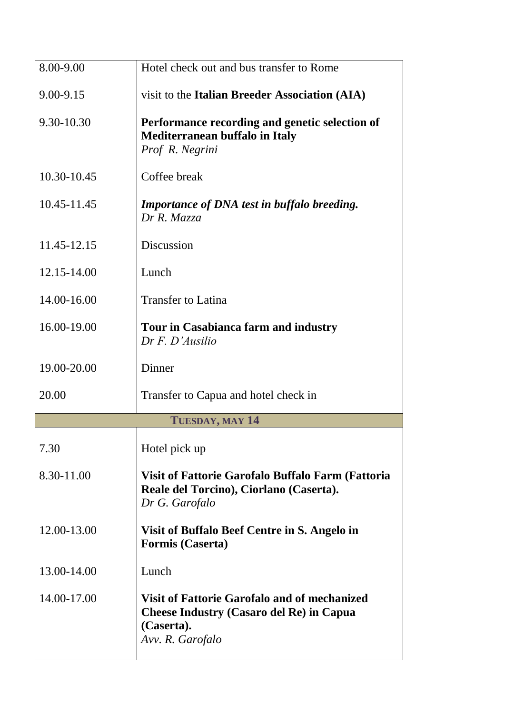| 8.00-9.00     | Hotel check out and bus transfer to Rome                                                                                                 |
|---------------|------------------------------------------------------------------------------------------------------------------------------------------|
| $9.00 - 9.15$ | visit to the Italian Breeder Association (AIA)                                                                                           |
| 9.30-10.30    | Performance recording and genetic selection of<br><b>Mediterranean buffalo in Italy</b><br>Prof R. Negrini                               |
| 10.30-10.45   | Coffee break                                                                                                                             |
| 10.45-11.45   | <b>Importance of DNA test in buffalo breeding.</b><br>Dr R. Mazza                                                                        |
| 11.45-12.15   | Discussion                                                                                                                               |
| 12.15-14.00   | Lunch                                                                                                                                    |
| 14.00-16.00   | <b>Transfer to Latina</b>                                                                                                                |
| 16.00-19.00   | Tour in Casabianca farm and industry<br>$Dr F. D'A$ <i>usilio</i>                                                                        |
| 19.00-20.00   | Dinner                                                                                                                                   |
| 20.00         | Transfer to Capua and hotel check in                                                                                                     |
|               | TUESDAY, MAY 14                                                                                                                          |
| 7.30          | Hotel pick up                                                                                                                            |
| 8.30-11.00    | Visit of Fattorie Garofalo Buffalo Farm (Fattoria<br>Reale del Torcino), Ciorlano (Caserta).<br>Dr G. Garofalo                           |
| 12.00-13.00   | Visit of Buffalo Beef Centre in S. Angelo in<br><b>Formis (Caserta)</b>                                                                  |
| 13.00-14.00   | Lunch                                                                                                                                    |
| 14.00-17.00   | <b>Visit of Fattorie Garofalo and of mechanized</b><br><b>Cheese Industry (Casaro del Re) in Capua</b><br>(Caserta).<br>Avv. R. Garofalo |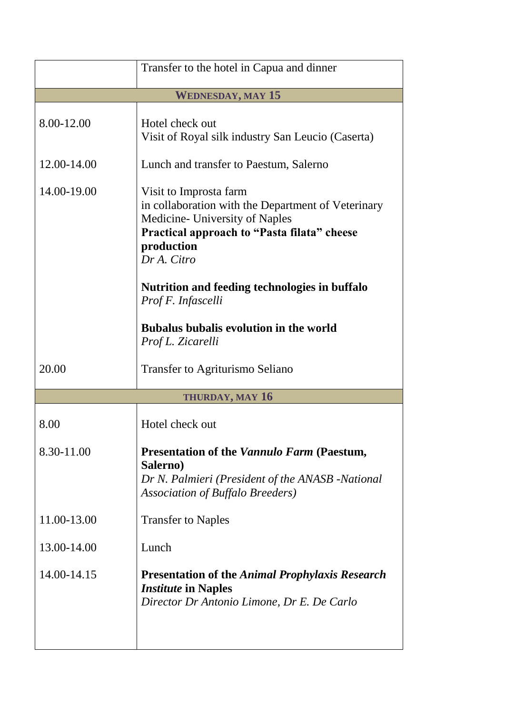|                          | Transfer to the hotel in Capua and dinner                                                                                                                                                                                                                         |
|--------------------------|-------------------------------------------------------------------------------------------------------------------------------------------------------------------------------------------------------------------------------------------------------------------|
| <b>WEDNESDAY, MAY 15</b> |                                                                                                                                                                                                                                                                   |
| 8.00-12.00               | Hotel check out<br>Visit of Royal silk industry San Leucio (Caserta)                                                                                                                                                                                              |
| 12.00-14.00              | Lunch and transfer to Paestum, Salerno                                                                                                                                                                                                                            |
| 14.00-19.00              | Visit to Improsta farm<br>in collaboration with the Department of Veterinary<br>Medicine- University of Naples<br>Practical approach to "Pasta filata" cheese<br>production<br>Dr A. Citro<br>Nutrition and feeding technologies in buffalo<br>Prof F. Infascelli |
|                          | <b>Bubalus bubalis evolution in the world</b><br>Prof L. Zicarelli                                                                                                                                                                                                |
| 20.00                    | Transfer to Agriturismo Seliano                                                                                                                                                                                                                                   |
|                          | <b>THURDAY, MAY 16</b>                                                                                                                                                                                                                                            |
| 8.00                     | Hotel check out                                                                                                                                                                                                                                                   |
| 8.30-11.00               | <b>Presentation of the Vannulo Farm (Paestum,</b><br>Salerno)<br>Dr N. Palmieri (President of the ANASB -National<br><b>Association of Buffalo Breeders</b> )                                                                                                     |
| 11.00-13.00              | <b>Transfer to Naples</b>                                                                                                                                                                                                                                         |
| 13.00-14.00              | Lunch                                                                                                                                                                                                                                                             |
| 14.00-14.15              | <b>Presentation of the Animal Prophylaxis Research</b><br><i><b>Institute in Naples</b></i><br>Director Dr Antonio Limone, Dr E. De Carlo                                                                                                                         |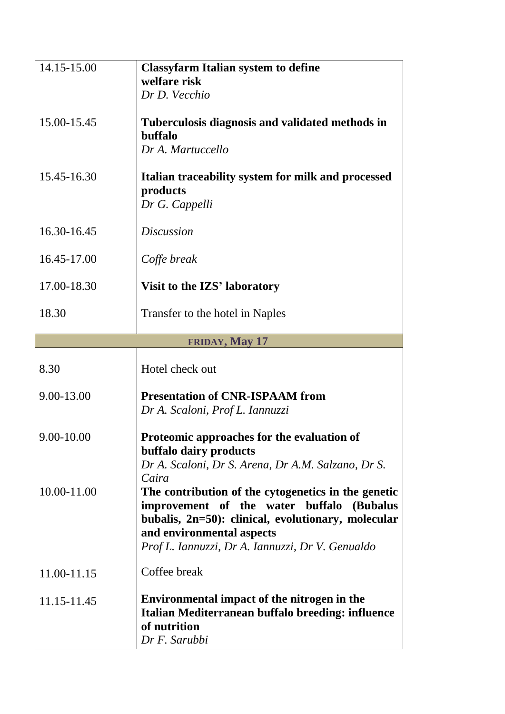| 14.15-15.00 | <b>Classyfarm Italian system to define</b><br>welfare risk<br>Dr D. Vecchio                                                                                                                                                                |
|-------------|--------------------------------------------------------------------------------------------------------------------------------------------------------------------------------------------------------------------------------------------|
| 15.00-15.45 | Tuberculosis diagnosis and validated methods in<br>buffalo<br>Dr A. Martuccello                                                                                                                                                            |
| 15.45-16.30 | Italian traceability system for milk and processed<br>products<br>Dr G. Cappelli                                                                                                                                                           |
| 16.30-16.45 | <b>Discussion</b>                                                                                                                                                                                                                          |
| 16.45-17.00 | Coffe break                                                                                                                                                                                                                                |
| 17.00-18.30 | Visit to the IZS' laboratory                                                                                                                                                                                                               |
| 18.30       | Transfer to the hotel in Naples                                                                                                                                                                                                            |
|             | FRIDAY, May 17                                                                                                                                                                                                                             |
| 8.30        | Hotel check out                                                                                                                                                                                                                            |
| 9.00-13.00  | <b>Presentation of CNR-ISPAAM from</b><br>Dr A. Scaloni, Prof L. Iannuzzi                                                                                                                                                                  |
| 9.00-10.00  | Proteomic approaches for the evaluation of<br>buffalo dairy products<br>Dr A. Scaloni, Dr S. Arena, Dr A.M. Salzano, Dr S.<br>Caira                                                                                                        |
| 10.00-11.00 | The contribution of the cytogenetics in the genetic<br>improvement of the water buffalo<br>(Bubalus<br>bubalis, 2n=50): clinical, evolutionary, molecular<br>and environmental aspects<br>Prof L. Iannuzzi, Dr A. Iannuzzi, Dr V. Genualdo |
| 11.00-11.15 | Coffee break                                                                                                                                                                                                                               |
| 11.15-11.45 | Environmental impact of the nitrogen in the<br>Italian Mediterranean buffalo breeding: influence<br>of nutrition<br>Dr F. Sarubbi                                                                                                          |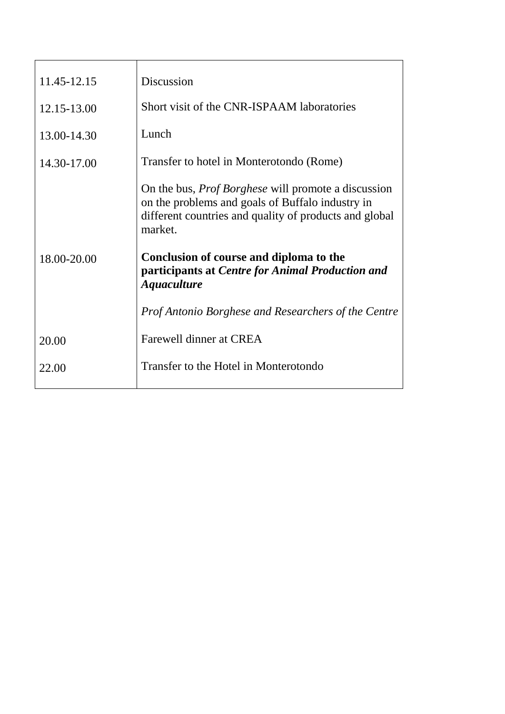| 11.45-12.15 | Discussion                                                                                                                                                                          |
|-------------|-------------------------------------------------------------------------------------------------------------------------------------------------------------------------------------|
| 12.15-13.00 | Short visit of the CNR-ISPAAM laboratories                                                                                                                                          |
| 13.00-14.30 | Lunch                                                                                                                                                                               |
| 14.30-17.00 | Transfer to hotel in Monterotondo (Rome)                                                                                                                                            |
|             | On the bus, <i>Prof Borghese</i> will promote a discussion<br>on the problems and goals of Buffalo industry in<br>different countries and quality of products and global<br>market. |
| 18.00-20.00 | Conclusion of course and diploma to the<br>participants at Centre for Animal Production and<br><b>Aquaculture</b>                                                                   |
|             | <i>Prof Antonio Borghese and Researchers of the Centre</i>                                                                                                                          |
| 20.00       | Farewell dinner at CREA                                                                                                                                                             |
| 22.00       | Transfer to the Hotel in Monterotondo                                                                                                                                               |
|             |                                                                                                                                                                                     |